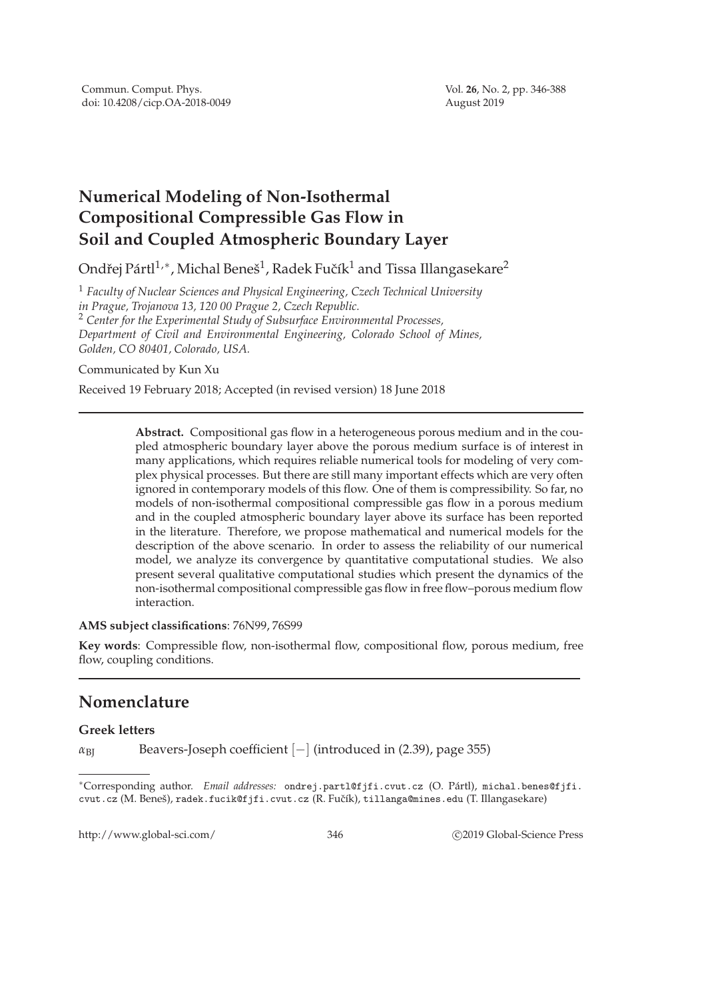# **Numerical Modeling of Non-Isothermal Compositional Compressible Gas Flow in Soil and Coupled Atmospheric Boundary Layer**

Ondřej Pártl $^{1,\ast}$ , Michal Beneš $^{1}$ , Radek Fučík $^{1}$  and Tissa Illangasekare $^{2}$ 

<sup>1</sup> *Faculty of Nuclear Sciences and Physical Engineering, Czech Technical University in Prague, Trojanova 13, 120 00 Prague 2, Czech Republic.* <sup>2</sup> *Center for the Experimental Study of Subsurface Environmental Processes, Department of Civil and Environmental Engineering, Colorado School of Mines, Golden, CO 80401, Colorado, USA.*

Communicated by Kun Xu

Received 19 February 2018; Accepted (in revised version) 18 June 2018

**Abstract.** Compositional gas flow in a heterogeneous porous medium and in the coupled atmospheric boundary layer above the porous medium surface is of interest in many applications, which requires reliable numerical tools for modeling of very complex physical processes. But there are still many important effects which are very often ignored in contemporary models of this flow. One of them is compressibility. So far, no models of non-isothermal compositional compressible gas flow in a porous medium and in the coupled atmospheric boundary layer above its surface has been reported in the literature. Therefore, we propose mathematical and numerical models for the description of the above scenario. In order to assess the reliability of our numerical model, we analyze its convergence by quantitative computational studies. We also present several qualitative computational studies which present the dynamics of the non-isothermal compositional compressible gas flow in free flow–porous medium flow interaction.

#### **AMS subject classifications**: 76N99, 76S99

**Key words**: Compressible flow, non-isothermal flow, compositional flow, porous medium, free flow, coupling conditions.

## **Nomenclature**

### **Greek letters**

*α*<sub>BI</sub> Beavers-Joseph coefficient [−] (introduced in (2.39), page 355)

∗Corresponding author. *Email addresses:* ondrej.partl@fjfi.cvut.cz (O. P´artl), michal.benes@fjfi. cvut.cz (M. Beneš), radek.fucik@fjfi.cvut.cz (R. Fučík), tillanga@mines.edu (T. Illangasekare)

http://www.global-sci.com/ 346 c 2019 Global-Science Press